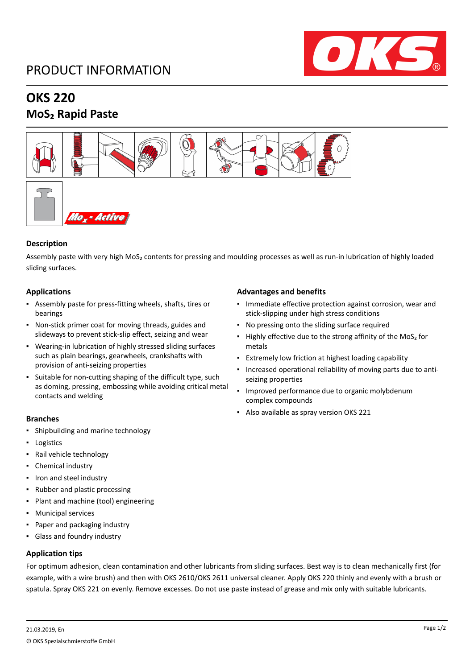# PRODUCT INFORMATION



# **OKS 220 MoS₂ Rapid Paste**



### **Description**

Assembly paste with very high MoS₂ contents for pressing and moulding processes as well as run-in lubrication of highly loaded sliding surfaces.

### **Applications**

- Assembly paste for press-fitting wheels, shafts, tires or bearings
- Non-stick primer coat for moving threads, guides and slideways to prevent stick-slip effect, seizing and wear
- Wearing-in lubrication of highly stressed sliding surfaces such as plain bearings, gearwheels, crankshafts with provision of anti-seizing properties
- Suitable for non-cutting shaping of the difficult type, such as doming, pressing, embossing while avoiding critical metal contacts and welding

#### **Branches**

- Shipbuilding and marine technology
- Logistics
- Rail vehicle technology
- Chemical industry
- Iron and steel industry
- Rubber and plastic processing
- Plant and machine (tool) engineering
- Municipal services
- Paper and packaging industry
- Glass and foundry industry

### **Application tips**

### **Advantages and benefits**

- Immediate effective protection against corrosion, wear and stick-slipping under high stress conditions
- No pressing onto the sliding surface required
- Highly effective due to the strong affinity of the MoS<sub>2</sub> for metals
- Extremely low friction at highest loading capability
- Increased operational reliability of moving parts due to antiseizing properties
- Improved performance due to organic molybdenum complex compounds
- Also available as spray version OKS 221

For optimum adhesion, clean contamination and other lubricants from sliding surfaces. Best way is to clean mechanically first (for example, with a wire brush) and then with OKS 2610/OKS 2611 universal cleaner. Apply OKS 220 thinly and evenly with a brush or spatula. Spray OKS 221 on evenly. Remove excesses. Do not use paste instead of grease and mix only with suitable lubricants.